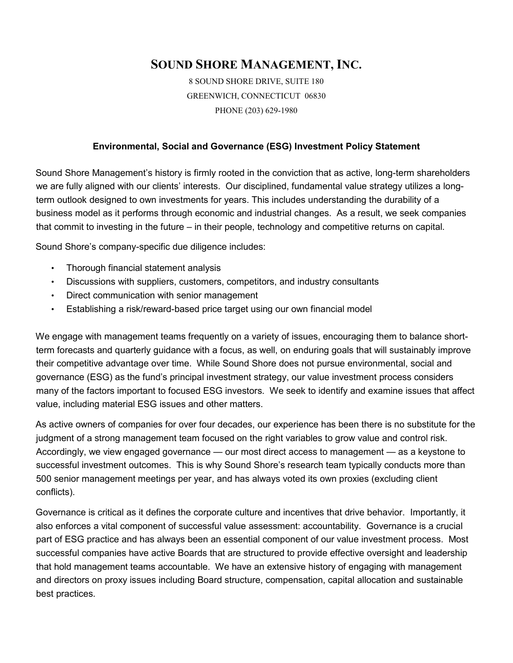## **SOUND SHORE MANAGEMENT, INC.**

8 SOUND SHORE DRIVE, SUITE 180 GREENWICH, CONNECTICUT 06830 PHONE (203) 629-1980

## **Environmental, Social and Governance (ESG) Investment Policy Statement**

Sound Shore Management's history is firmly rooted in the conviction that as active, long-term shareholders we are fully aligned with our clients' interests. Our disciplined, fundamental value strategy utilizes a longterm outlook designed to own investments for years. This includes understanding the durability of a business model as it performs through economic and industrial changes. As a result, we seek companies that commit to investing in the future – in their people, technology and competitive returns on capital.

Sound Shore's company-specific due diligence includes:

- Thorough financial statement analysis
- Discussions with suppliers, customers, competitors, and industry consultants
- Direct communication with senior management
- Establishing a risk/reward-based price target using our own financial model

We engage with management teams frequently on a variety of issues, encouraging them to balance shortterm forecasts and quarterly guidance with a focus, as well, on enduring goals that will sustainably improve their competitive advantage over time. While Sound Shore does not pursue environmental, social and governance (ESG) as the fund's principal investment strategy, our value investment process considers many of the factors important to focused ESG investors. We seek to identify and examine issues that affect value, including material ESG issues and other matters.

As active owners of companies for over four decades, our experience has been there is no substitute for the judgment of a strong management team focused on the right variables to grow value and control risk. Accordingly, we view engaged governance — our most direct access to management — as a keystone to successful investment outcomes. This is why Sound Shore's research team typically conducts more than 500 senior management meetings per year, and has always voted its own proxies (excluding client conflicts).

Governance is critical as it defines the corporate culture and incentives that drive behavior. Importantly, it also enforces a vital component of successful value assessment: accountability. Governance is a crucial part of ESG practice and has always been an essential component of our value investment process. Most successful companies have active Boards that are structured to provide effective oversight and leadership that hold management teams accountable. We have an extensive history of engaging with management and directors on proxy issues including Board structure, compensation, capital allocation and sustainable best practices.